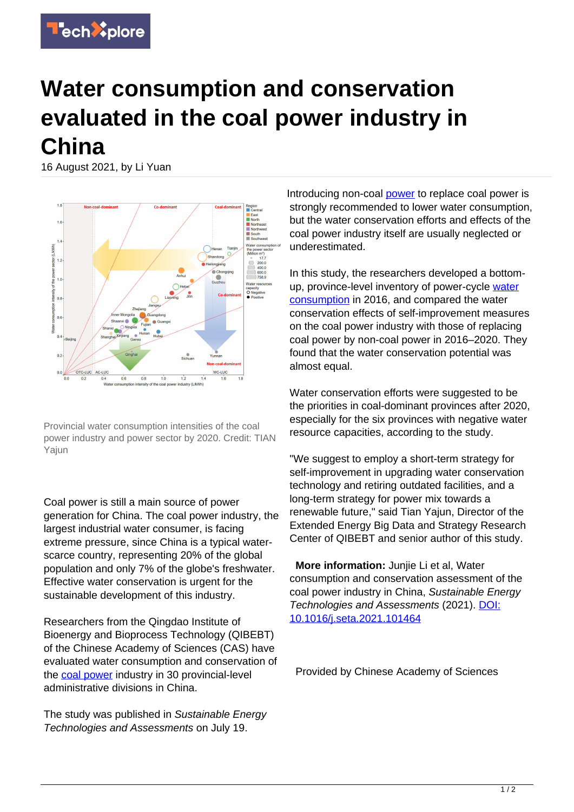

## **Water consumption and conservation evaluated in the coal power industry in China**

16 August 2021, by Li Yuan



Provincial water consumption intensities of the coal power industry and power sector by 2020. Credit: TIAN Yajun

Coal power is still a main source of power generation for China. The coal power industry, the largest industrial water consumer, is facing extreme pressure, since China is a typical waterscarce country, representing 20% of the global population and only 7% of the globe's freshwater. Effective water conservation is urgent for the sustainable development of this industry.

Researchers from the Qingdao Institute of Bioenergy and Bioprocess Technology (QIBEBT) of the Chinese Academy of Sciences (CAS) have evaluated water consumption and conservation of the [coal power](https://techxplore.com/tags/coal+power/) industry in 30 provincial-level administrative divisions in China.

The study was published in Sustainable Energy Technologies and Assessments on July 19.

Introducing non-coal [power](https://techxplore.com/tags/power/) to replace coal power is strongly recommended to lower water consumption, but the water conservation efforts and effects of the coal power industry itself are usually neglected or underestimated.

In this study, the researchers developed a bottomup, province-level inventory of power-cycle [water](https://techxplore.com/tags/water+consumption/) [consumption](https://techxplore.com/tags/water+consumption/) in 2016, and compared the water conservation effects of self-improvement measures on the coal power industry with those of replacing coal power by non-coal power in 2016–2020. They found that the water conservation potential was almost equal.

Water conservation efforts were suggested to be the priorities in coal-dominant provinces after 2020, especially for the six provinces with negative water resource capacities, according to the study.

"We suggest to employ a short-term strategy for self-improvement in upgrading water conservation technology and retiring outdated facilities, and a long-term strategy for power mix towards a renewable future," said Tian Yajun, Director of the Extended Energy Big Data and Strategy Research Center of QIBEBT and senior author of this study.

 **More information:** Junjie Li et al, Water consumption and conservation assessment of the coal power industry in China, Sustainable Energy Technologies and Assessments (2021). [DOI:](http://dx.doi.org/10.1016/j.seta.2021.101464) [10.1016/j.seta.2021.101464](http://dx.doi.org/10.1016/j.seta.2021.101464)

Provided by Chinese Academy of Sciences